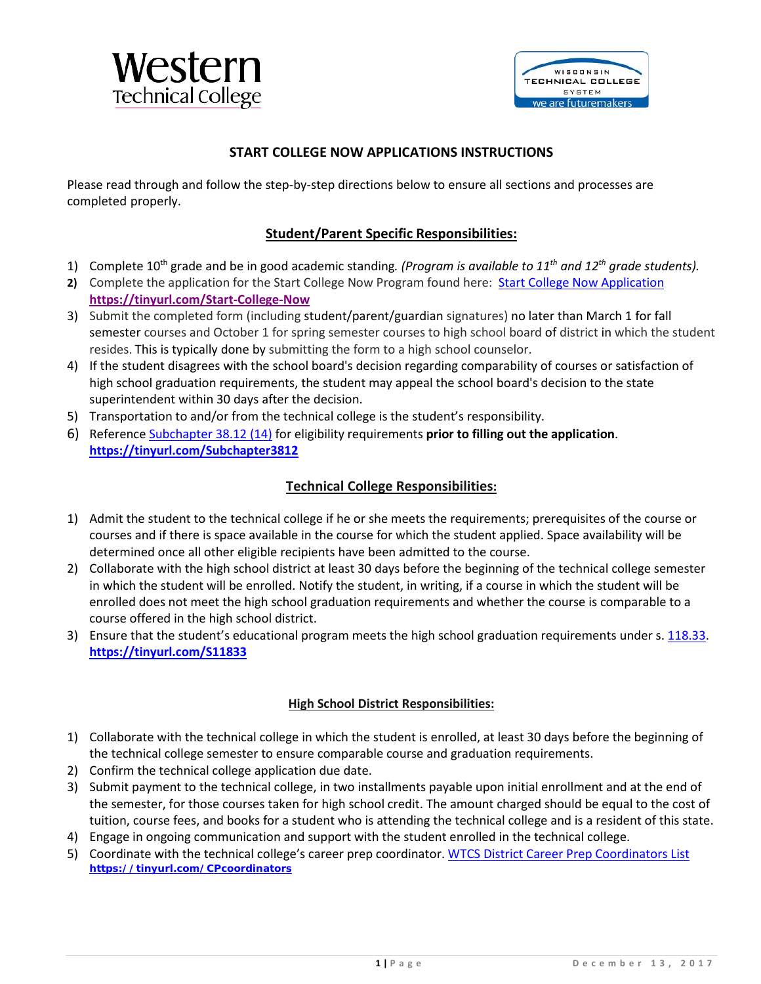

## **START COLLEGE NOW APPLICATIONS INSTRUCTIONS**

Please read through and follow the step-by-step directions below to ensure all sections and processes are completed properly.

## **Student/Parent Specific Responsibilities:**

- 1) Complete 10th grade and be in good academic standing*. (Program is available to 11th and 12th grade students).*
- **2)** Complete the application for the Start College Now Program found here: [Start College Now Application](http://mywtcs.wtcsystem.edu/student-success/career-prep/new-start-college-now-(formerly-youth-options)) **<https://tinyurl.com/Start-College-Now>**
- 3) Submit the completed form (including student/parent/guardian signatures) no later than March 1 for fall semester courses and October 1 for spring semester courses to high school board of district in which the student resides. This is typically done by submitting the form to a high school counselor.
- 4) If the student disagrees with the school board's decision regarding comparability of courses or satisfaction of high school graduation requirements, the student may appeal the school board's decision to the state superintendent within 30 days after the decision.
- 5) Transportation to and/or from the technical college is the student's responsibility.
- 6) Reference [Subchapter 38.12 \(14\)](https://wtcsb-my.sharepoint.com/:b:/g/personal/arleen_case_wtcsystem_edu/Ee6ipSeQ4f5BvNoQGXEkCTwB3IblBoqaDxxjQDaTzkrMqg?e=Bo3NvO) for eligibility requirements **prior to filling out the application**. **<https://tinyurl.com/Subchapter3812>**

## **Technical College Responsibilities:**

- 1) Admit the student to the technical college if he or she meets the requirements; prerequisites of the course or courses and if there is space available in the course for which the student applied. Space availability will be determined once all other eligible recipients have been admitted to the course.
- 2) Collaborate with the high school district at least 30 days before the beginning of the technical college semester in which the student will be enrolled. Notify the student, in writing, if a course in which the student will be enrolled does not meet the high school graduation requirements and whether the course is comparable to a course offered in the high school district.
- 3) Ensure that the student's educational program meets the high school graduation requirements under s. [118.33.](https://docs.legis.wisconsin.gov/document/statutes/118.33) **<https://tinyurl.com/S11833>**

#### **High School District Responsibilities:**

- 1) Collaborate with the technical college in which the student is enrolled, at least 30 days before the beginning of the technical college semester to ensure comparable course and graduation requirements.
- 2) Confirm the technical college application due date.
- 3) Submit payment to the technical college, in two installments payable upon initial enrollment and at the end of the semester, for those courses taken for high school credit. The amount charged should be equal to the cost of tuition, course fees, and books for a student who is attending the technical college and is a resident of this state.
- 4) Engage in ongoing communication and support with the student enrolled in the technical college.
- 5) Coordinate with the technical college's career prep coordinator[. WTCS District Career Prep Coordinators List](https://wtcsb-my.sharepoint.com/:b:/g/personal/arleen_case_wtcsystem_edu/ETxC1JO8D-VEjV0UqcucfKoBWKP-H004SYnwHoQx7Hejlw?e=IP8skn) **<https://tinyurl.com/CPcoordinators>**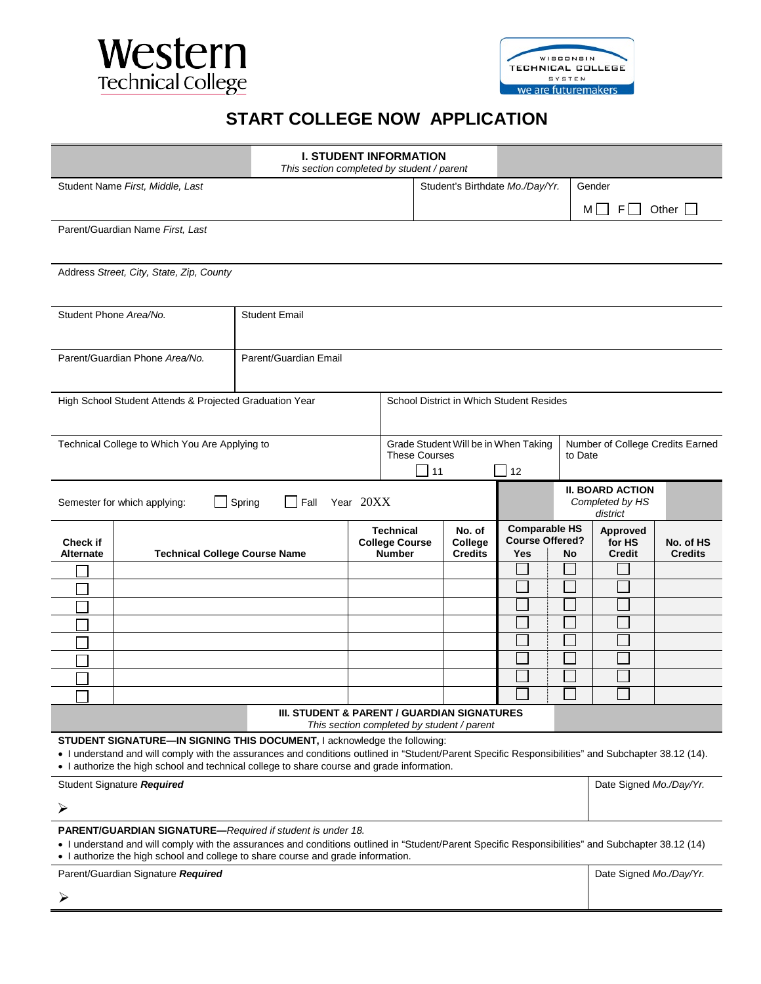



# **START COLLEGE NOW APPLICATION**

|                                                                                                                                                                                                                                                                                                      | <b>I. STUDENT INFORMATION</b><br>This section completed by student / parent                                                                                                                                                                                                                                                   |                       |  |                                                                                                   |                                     |                                                       |    |                                                        |                             |  |
|------------------------------------------------------------------------------------------------------------------------------------------------------------------------------------------------------------------------------------------------------------------------------------------------------|-------------------------------------------------------------------------------------------------------------------------------------------------------------------------------------------------------------------------------------------------------------------------------------------------------------------------------|-----------------------|--|---------------------------------------------------------------------------------------------------|-------------------------------------|-------------------------------------------------------|----|--------------------------------------------------------|-----------------------------|--|
| Student Name First, Middle, Last                                                                                                                                                                                                                                                                     |                                                                                                                                                                                                                                                                                                                               |                       |  |                                                                                                   |                                     | Student's Birthdate Mo./Day/Yr.                       |    | Gender                                                 |                             |  |
|                                                                                                                                                                                                                                                                                                      |                                                                                                                                                                                                                                                                                                                               |                       |  |                                                                                                   |                                     |                                                       |    | M   F                                                  | Other $\Box$                |  |
| Parent/Guardian Name First, Last                                                                                                                                                                                                                                                                     |                                                                                                                                                                                                                                                                                                                               |                       |  |                                                                                                   |                                     |                                                       |    |                                                        |                             |  |
| Address Street, City, State, Zip, County                                                                                                                                                                                                                                                             |                                                                                                                                                                                                                                                                                                                               |                       |  |                                                                                                   |                                     |                                                       |    |                                                        |                             |  |
| Student Phone Area/No.                                                                                                                                                                                                                                                                               |                                                                                                                                                                                                                                                                                                                               | <b>Student Email</b>  |  |                                                                                                   |                                     |                                                       |    |                                                        |                             |  |
| Parent/Guardian Phone Area/No.                                                                                                                                                                                                                                                                       |                                                                                                                                                                                                                                                                                                                               | Parent/Guardian Email |  |                                                                                                   |                                     |                                                       |    |                                                        |                             |  |
| High School Student Attends & Projected Graduation Year                                                                                                                                                                                                                                              |                                                                                                                                                                                                                                                                                                                               |                       |  | School District in Which Student Resides                                                          |                                     |                                                       |    |                                                        |                             |  |
| Technical College to Which You Are Applying to                                                                                                                                                                                                                                                       |                                                                                                                                                                                                                                                                                                                               |                       |  | Grade Student Will be in When Taking<br><b>These Courses</b><br>$\overline{\phantom{0}}$ 11<br>12 |                                     |                                                       |    | Number of College Credits Earned<br>to Date            |                             |  |
| Spring<br>Year 20XX<br>Fall<br>Semester for which applying:                                                                                                                                                                                                                                          |                                                                                                                                                                                                                                                                                                                               |                       |  |                                                                                                   |                                     |                                                       |    | <b>II. BOARD ACTION</b><br>Completed by HS<br>district |                             |  |
| <b>Check if</b><br><b>Alternate</b>                                                                                                                                                                                                                                                                  | <b>Technical College Course Name</b>                                                                                                                                                                                                                                                                                          |                       |  | <b>Technical</b><br><b>College Course</b><br><b>Number</b>                                        | No. of<br>College<br><b>Credits</b> | <b>Comparable HS</b><br><b>Course Offered?</b><br>Yes | No | Approved<br>for HS<br><b>Credit</b>                    | No. of HS<br><b>Credits</b> |  |
|                                                                                                                                                                                                                                                                                                      |                                                                                                                                                                                                                                                                                                                               |                       |  |                                                                                                   |                                     |                                                       |    |                                                        |                             |  |
|                                                                                                                                                                                                                                                                                                      |                                                                                                                                                                                                                                                                                                                               |                       |  |                                                                                                   |                                     |                                                       |    |                                                        |                             |  |
|                                                                                                                                                                                                                                                                                                      |                                                                                                                                                                                                                                                                                                                               |                       |  |                                                                                                   |                                     |                                                       |    |                                                        |                             |  |
|                                                                                                                                                                                                                                                                                                      |                                                                                                                                                                                                                                                                                                                               |                       |  |                                                                                                   |                                     |                                                       |    |                                                        |                             |  |
|                                                                                                                                                                                                                                                                                                      |                                                                                                                                                                                                                                                                                                                               |                       |  |                                                                                                   |                                     |                                                       |    |                                                        |                             |  |
|                                                                                                                                                                                                                                                                                                      |                                                                                                                                                                                                                                                                                                                               |                       |  |                                                                                                   |                                     |                                                       |    |                                                        |                             |  |
|                                                                                                                                                                                                                                                                                                      |                                                                                                                                                                                                                                                                                                                               |                       |  |                                                                                                   |                                     |                                                       |    |                                                        |                             |  |
| III. STUDENT & PARENT / GUARDIAN SIGNATURES<br>This section completed by student / parent                                                                                                                                                                                                            |                                                                                                                                                                                                                                                                                                                               |                       |  |                                                                                                   |                                     |                                                       |    |                                                        |                             |  |
|                                                                                                                                                                                                                                                                                                      | STUDENT SIGNATURE-IN SIGNING THIS DOCUMENT, I acknowledge the following:<br>. I understand and will comply with the assurances and conditions outlined in "Student/Parent Specific Responsibilities" and Subchapter 38.12 (14).<br>. I authorize the high school and technical college to share course and grade information. |                       |  |                                                                                                   |                                     |                                                       |    |                                                        |                             |  |
| Date Signed Mo./Day/Yr.<br>Student Signature Required                                                                                                                                                                                                                                                |                                                                                                                                                                                                                                                                                                                               |                       |  |                                                                                                   |                                     |                                                       |    |                                                        |                             |  |
| ➤                                                                                                                                                                                                                                                                                                    |                                                                                                                                                                                                                                                                                                                               |                       |  |                                                                                                   |                                     |                                                       |    |                                                        |                             |  |
| PARENT/GUARDIAN SIGNATURE-Required if student is under 18.<br>• I understand and will comply with the assurances and conditions outlined in "Student/Parent Specific Responsibilities" and Subchapter 38.12 (14)<br>• I authorize the high school and college to share course and grade information. |                                                                                                                                                                                                                                                                                                                               |                       |  |                                                                                                   |                                     |                                                       |    |                                                        |                             |  |
| Parent/Guardian Signature Required                                                                                                                                                                                                                                                                   |                                                                                                                                                                                                                                                                                                                               |                       |  |                                                                                                   |                                     |                                                       |    | Date Signed Mo./Day/Yr.                                |                             |  |
| ➤                                                                                                                                                                                                                                                                                                    |                                                                                                                                                                                                                                                                                                                               |                       |  |                                                                                                   |                                     |                                                       |    |                                                        |                             |  |
|                                                                                                                                                                                                                                                                                                      |                                                                                                                                                                                                                                                                                                                               |                       |  |                                                                                                   |                                     |                                                       |    |                                                        |                             |  |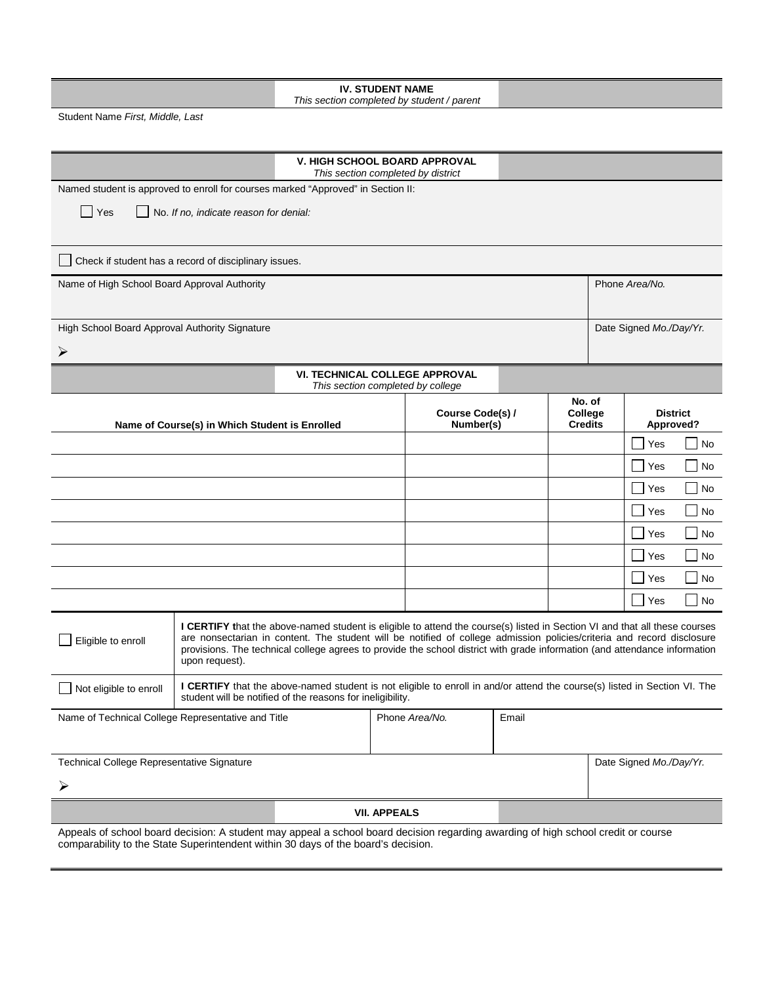| Student Name First, Middle, Last<br><b>V. HIGH SCHOOL BOARD APPROVAL</b><br>This section completed by district<br>Named student is approved to enroll for courses marked "Approved" in Section II:<br>  Yes<br>No. If no, indicate reason for denial:<br>Check if student has a record of disciplinary issues.<br>Phone Area/No.<br>Name of High School Board Approval Authority<br>High School Board Approval Authority Signature<br>Date Signed Mo./Day/Yr.<br>➤<br><b>VI. TECHNICAL COLLEGE APPROVAL</b><br>This section completed by college<br>No. of<br>College<br>Course Code(s) /<br><b>District</b><br><b>Credits</b><br>Name of Course(s) in Which Student is Enrolled<br>Number(s)<br>Approved?<br>No<br>Yes<br>Yes<br><b>No</b><br>Yes<br>No<br>Yes<br>No<br>Yes<br>No<br>Yes<br>No<br>Yes<br>No<br>$\sim$<br>No<br>Yes<br>I CERTIFY that the above-named student is eligible to attend the course(s) listed in Section VI and that all these courses<br>are nonsectarian in content. The student will be notified of college admission policies/criteria and record disclosure<br>Eligible to enroll<br>provisions. The technical college agrees to provide the school district with grade information (and attendance information<br>upon request).<br>I CERTIFY that the above-named student is not eligible to enroll in and/or attend the course(s) listed in Section VI. The<br>Not eligible to enroll<br>student will be notified of the reasons for ineligibility.<br>Phone Area/No.<br>Name of Technical College Representative and Title<br>Email<br>Technical College Representative Signature<br>Date Signed Mo./Day/Yr.<br>⋗<br><b>VII. APPEALS</b><br>Appeals of school board decision: A student may appeal a school board decision regarding awarding of high school credit or course<br>comparability to the State Superintendent within 30 days of the board's decision. | <b>IV. STUDENT NAME</b><br>This section completed by student / parent |  |  |  |  |  |  |  |  |  |
|--------------------------------------------------------------------------------------------------------------------------------------------------------------------------------------------------------------------------------------------------------------------------------------------------------------------------------------------------------------------------------------------------------------------------------------------------------------------------------------------------------------------------------------------------------------------------------------------------------------------------------------------------------------------------------------------------------------------------------------------------------------------------------------------------------------------------------------------------------------------------------------------------------------------------------------------------------------------------------------------------------------------------------------------------------------------------------------------------------------------------------------------------------------------------------------------------------------------------------------------------------------------------------------------------------------------------------------------------------------------------------------------------------------------------------------------------------------------------------------------------------------------------------------------------------------------------------------------------------------------------------------------------------------------------------------------------------------------------------------------------------------------------------------------------------------------------------------------------------------------------------------------------------|-----------------------------------------------------------------------|--|--|--|--|--|--|--|--|--|
|                                                                                                                                                                                                                                                                                                                                                                                                                                                                                                                                                                                                                                                                                                                                                                                                                                                                                                                                                                                                                                                                                                                                                                                                                                                                                                                                                                                                                                                                                                                                                                                                                                                                                                                                                                                                                                                                                                        |                                                                       |  |  |  |  |  |  |  |  |  |
|                                                                                                                                                                                                                                                                                                                                                                                                                                                                                                                                                                                                                                                                                                                                                                                                                                                                                                                                                                                                                                                                                                                                                                                                                                                                                                                                                                                                                                                                                                                                                                                                                                                                                                                                                                                                                                                                                                        |                                                                       |  |  |  |  |  |  |  |  |  |
|                                                                                                                                                                                                                                                                                                                                                                                                                                                                                                                                                                                                                                                                                                                                                                                                                                                                                                                                                                                                                                                                                                                                                                                                                                                                                                                                                                                                                                                                                                                                                                                                                                                                                                                                                                                                                                                                                                        |                                                                       |  |  |  |  |  |  |  |  |  |
|                                                                                                                                                                                                                                                                                                                                                                                                                                                                                                                                                                                                                                                                                                                                                                                                                                                                                                                                                                                                                                                                                                                                                                                                                                                                                                                                                                                                                                                                                                                                                                                                                                                                                                                                                                                                                                                                                                        |                                                                       |  |  |  |  |  |  |  |  |  |
|                                                                                                                                                                                                                                                                                                                                                                                                                                                                                                                                                                                                                                                                                                                                                                                                                                                                                                                                                                                                                                                                                                                                                                                                                                                                                                                                                                                                                                                                                                                                                                                                                                                                                                                                                                                                                                                                                                        |                                                                       |  |  |  |  |  |  |  |  |  |
|                                                                                                                                                                                                                                                                                                                                                                                                                                                                                                                                                                                                                                                                                                                                                                                                                                                                                                                                                                                                                                                                                                                                                                                                                                                                                                                                                                                                                                                                                                                                                                                                                                                                                                                                                                                                                                                                                                        |                                                                       |  |  |  |  |  |  |  |  |  |
|                                                                                                                                                                                                                                                                                                                                                                                                                                                                                                                                                                                                                                                                                                                                                                                                                                                                                                                                                                                                                                                                                                                                                                                                                                                                                                                                                                                                                                                                                                                                                                                                                                                                                                                                                                                                                                                                                                        |                                                                       |  |  |  |  |  |  |  |  |  |
|                                                                                                                                                                                                                                                                                                                                                                                                                                                                                                                                                                                                                                                                                                                                                                                                                                                                                                                                                                                                                                                                                                                                                                                                                                                                                                                                                                                                                                                                                                                                                                                                                                                                                                                                                                                                                                                                                                        |                                                                       |  |  |  |  |  |  |  |  |  |
|                                                                                                                                                                                                                                                                                                                                                                                                                                                                                                                                                                                                                                                                                                                                                                                                                                                                                                                                                                                                                                                                                                                                                                                                                                                                                                                                                                                                                                                                                                                                                                                                                                                                                                                                                                                                                                                                                                        |                                                                       |  |  |  |  |  |  |  |  |  |
|                                                                                                                                                                                                                                                                                                                                                                                                                                                                                                                                                                                                                                                                                                                                                                                                                                                                                                                                                                                                                                                                                                                                                                                                                                                                                                                                                                                                                                                                                                                                                                                                                                                                                                                                                                                                                                                                                                        |                                                                       |  |  |  |  |  |  |  |  |  |
|                                                                                                                                                                                                                                                                                                                                                                                                                                                                                                                                                                                                                                                                                                                                                                                                                                                                                                                                                                                                                                                                                                                                                                                                                                                                                                                                                                                                                                                                                                                                                                                                                                                                                                                                                                                                                                                                                                        |                                                                       |  |  |  |  |  |  |  |  |  |
|                                                                                                                                                                                                                                                                                                                                                                                                                                                                                                                                                                                                                                                                                                                                                                                                                                                                                                                                                                                                                                                                                                                                                                                                                                                                                                                                                                                                                                                                                                                                                                                                                                                                                                                                                                                                                                                                                                        |                                                                       |  |  |  |  |  |  |  |  |  |
|                                                                                                                                                                                                                                                                                                                                                                                                                                                                                                                                                                                                                                                                                                                                                                                                                                                                                                                                                                                                                                                                                                                                                                                                                                                                                                                                                                                                                                                                                                                                                                                                                                                                                                                                                                                                                                                                                                        |                                                                       |  |  |  |  |  |  |  |  |  |
|                                                                                                                                                                                                                                                                                                                                                                                                                                                                                                                                                                                                                                                                                                                                                                                                                                                                                                                                                                                                                                                                                                                                                                                                                                                                                                                                                                                                                                                                                                                                                                                                                                                                                                                                                                                                                                                                                                        |                                                                       |  |  |  |  |  |  |  |  |  |
|                                                                                                                                                                                                                                                                                                                                                                                                                                                                                                                                                                                                                                                                                                                                                                                                                                                                                                                                                                                                                                                                                                                                                                                                                                                                                                                                                                                                                                                                                                                                                                                                                                                                                                                                                                                                                                                                                                        |                                                                       |  |  |  |  |  |  |  |  |  |
|                                                                                                                                                                                                                                                                                                                                                                                                                                                                                                                                                                                                                                                                                                                                                                                                                                                                                                                                                                                                                                                                                                                                                                                                                                                                                                                                                                                                                                                                                                                                                                                                                                                                                                                                                                                                                                                                                                        |                                                                       |  |  |  |  |  |  |  |  |  |
|                                                                                                                                                                                                                                                                                                                                                                                                                                                                                                                                                                                                                                                                                                                                                                                                                                                                                                                                                                                                                                                                                                                                                                                                                                                                                                                                                                                                                                                                                                                                                                                                                                                                                                                                                                                                                                                                                                        |                                                                       |  |  |  |  |  |  |  |  |  |
|                                                                                                                                                                                                                                                                                                                                                                                                                                                                                                                                                                                                                                                                                                                                                                                                                                                                                                                                                                                                                                                                                                                                                                                                                                                                                                                                                                                                                                                                                                                                                                                                                                                                                                                                                                                                                                                                                                        |                                                                       |  |  |  |  |  |  |  |  |  |
|                                                                                                                                                                                                                                                                                                                                                                                                                                                                                                                                                                                                                                                                                                                                                                                                                                                                                                                                                                                                                                                                                                                                                                                                                                                                                                                                                                                                                                                                                                                                                                                                                                                                                                                                                                                                                                                                                                        |                                                                       |  |  |  |  |  |  |  |  |  |
|                                                                                                                                                                                                                                                                                                                                                                                                                                                                                                                                                                                                                                                                                                                                                                                                                                                                                                                                                                                                                                                                                                                                                                                                                                                                                                                                                                                                                                                                                                                                                                                                                                                                                                                                                                                                                                                                                                        |                                                                       |  |  |  |  |  |  |  |  |  |
|                                                                                                                                                                                                                                                                                                                                                                                                                                                                                                                                                                                                                                                                                                                                                                                                                                                                                                                                                                                                                                                                                                                                                                                                                                                                                                                                                                                                                                                                                                                                                                                                                                                                                                                                                                                                                                                                                                        |                                                                       |  |  |  |  |  |  |  |  |  |
|                                                                                                                                                                                                                                                                                                                                                                                                                                                                                                                                                                                                                                                                                                                                                                                                                                                                                                                                                                                                                                                                                                                                                                                                                                                                                                                                                                                                                                                                                                                                                                                                                                                                                                                                                                                                                                                                                                        |                                                                       |  |  |  |  |  |  |  |  |  |
|                                                                                                                                                                                                                                                                                                                                                                                                                                                                                                                                                                                                                                                                                                                                                                                                                                                                                                                                                                                                                                                                                                                                                                                                                                                                                                                                                                                                                                                                                                                                                                                                                                                                                                                                                                                                                                                                                                        |                                                                       |  |  |  |  |  |  |  |  |  |
|                                                                                                                                                                                                                                                                                                                                                                                                                                                                                                                                                                                                                                                                                                                                                                                                                                                                                                                                                                                                                                                                                                                                                                                                                                                                                                                                                                                                                                                                                                                                                                                                                                                                                                                                                                                                                                                                                                        |                                                                       |  |  |  |  |  |  |  |  |  |
|                                                                                                                                                                                                                                                                                                                                                                                                                                                                                                                                                                                                                                                                                                                                                                                                                                                                                                                                                                                                                                                                                                                                                                                                                                                                                                                                                                                                                                                                                                                                                                                                                                                                                                                                                                                                                                                                                                        |                                                                       |  |  |  |  |  |  |  |  |  |
|                                                                                                                                                                                                                                                                                                                                                                                                                                                                                                                                                                                                                                                                                                                                                                                                                                                                                                                                                                                                                                                                                                                                                                                                                                                                                                                                                                                                                                                                                                                                                                                                                                                                                                                                                                                                                                                                                                        |                                                                       |  |  |  |  |  |  |  |  |  |
|                                                                                                                                                                                                                                                                                                                                                                                                                                                                                                                                                                                                                                                                                                                                                                                                                                                                                                                                                                                                                                                                                                                                                                                                                                                                                                                                                                                                                                                                                                                                                                                                                                                                                                                                                                                                                                                                                                        |                                                                       |  |  |  |  |  |  |  |  |  |
|                                                                                                                                                                                                                                                                                                                                                                                                                                                                                                                                                                                                                                                                                                                                                                                                                                                                                                                                                                                                                                                                                                                                                                                                                                                                                                                                                                                                                                                                                                                                                                                                                                                                                                                                                                                                                                                                                                        |                                                                       |  |  |  |  |  |  |  |  |  |
|                                                                                                                                                                                                                                                                                                                                                                                                                                                                                                                                                                                                                                                                                                                                                                                                                                                                                                                                                                                                                                                                                                                                                                                                                                                                                                                                                                                                                                                                                                                                                                                                                                                                                                                                                                                                                                                                                                        |                                                                       |  |  |  |  |  |  |  |  |  |
|                                                                                                                                                                                                                                                                                                                                                                                                                                                                                                                                                                                                                                                                                                                                                                                                                                                                                                                                                                                                                                                                                                                                                                                                                                                                                                                                                                                                                                                                                                                                                                                                                                                                                                                                                                                                                                                                                                        |                                                                       |  |  |  |  |  |  |  |  |  |